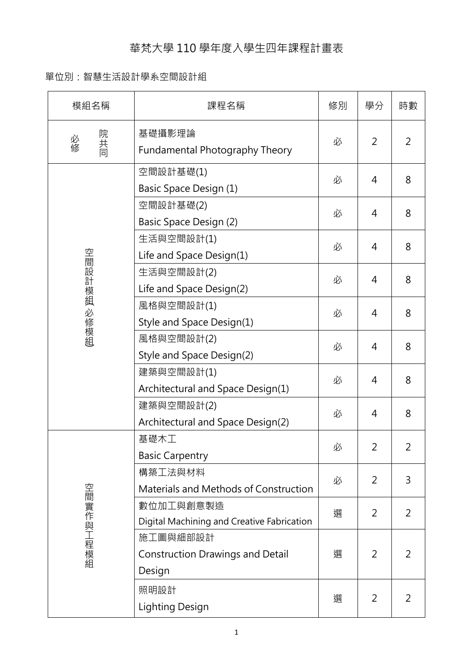## 華梵大學 110 學年度入學生四年課程計畫表

## 單位別:智慧生活設計學系空間設計組

| 模組名稱           | 課程名稱                                                          | 修別 | 學分             | 時數             |
|----------------|---------------------------------------------------------------|----|----------------|----------------|
| 院共同<br>必修      | 基礎攝影理論<br>Fundamental Photography Theory                      | 必  | 2              | $\overline{2}$ |
| 空間設計模組<br>必修模組 | 空間設計基礎(1)<br>Basic Space Design (1)                           | 必  | 4              | 8              |
|                | 空間設計基礎(2)<br><b>Basic Space Design (2)</b>                    | 必  | 4              | 8              |
|                | 生活與空間設計(1)<br>Life and Space Design(1)                        | 必  | 4              | 8              |
|                | 生活與空間設計(2)<br>Life and Space Design(2)                        | 必  | 4              | 8              |
|                | 風格與空間設計(1)<br>Style and Space Design(1)                       | 必  | 4              | 8              |
|                | 風格與空間設計(2)<br>Style and Space Design(2)                       | 必  | 4              | 8              |
|                | 建築與空間設計(1)<br>Architectural and Space Design(1)               | 必  | 4              | 8              |
|                | 建築與空間設計(2)<br>Architectural and Space Design(2)               | 必  | 4              | 8              |
| 空間實作與工程模組      | 基礎木工<br><b>Basic Carpentry</b>                                | 必  | 2              | 2              |
|                | 構築工法與材料<br>Materials and Methods of Construction              | 必  | 2              | 3              |
|                | 數位加工與創意製造<br>Digital Machining and Creative Fabrication       | 選  | 2              | 2              |
|                | 施工圖與細部設計<br><b>Construction Drawings and Detail</b><br>Design | 選  | 2              | 2              |
|                | 照明設計<br><b>Lighting Design</b>                                | 選  | $\overline{2}$ | 2              |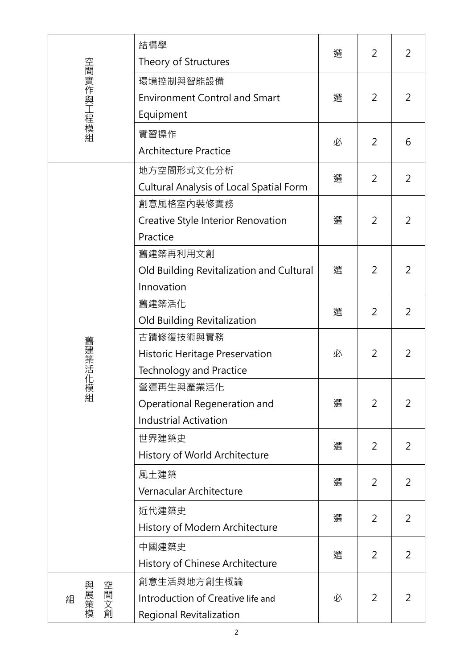| 空間實作與工程模組         | 結構學<br>Theory of Structures                                                   | 選 | 2 | 2              |
|-------------------|-------------------------------------------------------------------------------|---|---|----------------|
|                   | 環境控制與智能設備<br><b>Environment Control and Smart</b><br>Equipment                | 選 | 2 | $\overline{2}$ |
|                   | 實習操作<br><b>Architecture Practice</b>                                          | 必 | 2 | 6              |
| 舊建築活化<br>:模組      | 地方空間形式文化分析<br><b>Cultural Analysis of Local Spatial Form</b>                  | 選 | 2 | 2              |
|                   | 創意風格室內裝修實務<br>Creative Style Interior Renovation<br>Practice                  | 選 | 2 | 2              |
|                   | 舊建築再利用文創<br>Old Building Revitalization and Cultural<br>Innovation            | 選 | 2 | 2              |
|                   | 舊建築活化<br>Old Building Revitalization                                          | 選 | 2 | $\overline{2}$ |
|                   | 古蹟修復技術與實務<br>Historic Heritage Preservation<br><b>Technology and Practice</b> | 必 | 2 | 2              |
|                   | 營運再生與產業活化<br>Operational Regeneration and<br><b>Industrial Activation</b>     | 選 | 2 | 2              |
|                   | 世界建築史<br>History of World Architecture                                        | 選 | 2 | 2              |
|                   | 風土建築<br>Vernacular Architecture                                               | 選 | 2 | 2              |
|                   | 近代建築史<br>History of Modern Architecture                                       | 選 | 2 | 2              |
|                   | 中國建築史<br>History of Chinese Architecture                                      | 選 | 2 | 2              |
| 空間文創<br>與展策模<br>組 | 創意生活與地方創生概論<br>Introduction of Creative life and<br>Regional Revitalization   | 必 | 2 | 2              |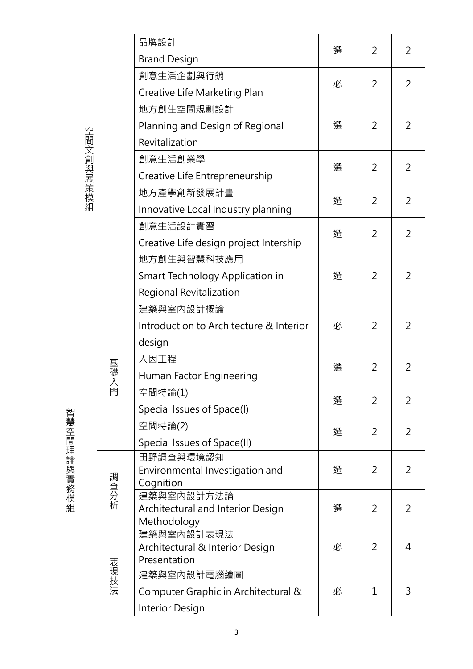|             |                                | 品牌設計                                            | 選 | 2              | 2              |
|-------------|--------------------------------|-------------------------------------------------|---|----------------|----------------|
|             |                                | <b>Brand Design</b>                             |   |                |                |
|             |                                | 創意生活企劃與行銷                                       | 必 | 2              | $\overline{2}$ |
|             |                                | Creative Life Marketing Plan                    |   |                |                |
|             |                                | 地方創生空間規劃設計                                      |   |                |                |
|             |                                | Planning and Design of Regional                 | 選 | 2              | 2              |
|             |                                | Revitalization                                  |   |                |                |
| 空間文創與展策模組   | 創意生活創業學                        | 選                                               |   |                |                |
|             | Creative Life Entrepreneurship |                                                 | 2 | $\overline{2}$ |                |
|             |                                | 地方產學創新發展計畫                                      | 選 | $\overline{2}$ |                |
|             |                                | Innovative Local Industry planning              |   |                | $\overline{2}$ |
|             |                                | 創意生活設計實習                                        |   | 2              |                |
|             |                                | Creative Life design project Intership          | 選 |                | $\overline{2}$ |
|             |                                | 地方創生與智慧科技應用                                     |   |                |                |
|             |                                | Smart Technology Application in                 | 選 | 2              | $\overline{2}$ |
|             |                                | Regional Revitalization                         |   |                |                |
|             | 基礎入門                           | 建築與室內設計概論                                       | 必 |                |                |
|             |                                | Introduction to Architecture & Interior         |   | 2              | 2              |
|             |                                | design                                          |   |                |                |
|             |                                | 人因工程                                            |   |                |                |
|             |                                | Human Factor Engineering                        | 選 | 2              | $\overline{2}$ |
|             |                                | 空間特論(1)                                         | 選 | 2              | $\overline{2}$ |
|             |                                | Special Issues of Space(I)                      |   |                |                |
|             |                                | 空間特論(2)                                         |   |                |                |
|             |                                | Special Issues of Space(II)                     | 選 | 2              | $\overline{2}$ |
| 智慧空間理論與實務模組 | 調查分析                           | 田野調查與環境認知                                       | 選 |                |                |
|             |                                | Environmental Investigation and                 |   | 2              | $\overline{2}$ |
|             |                                | Cognition<br>建築與室內設計方法論                         |   |                |                |
|             |                                | Architectural and Interior Design               | 選 | 2              | $\overline{2}$ |
|             |                                | Methodology                                     |   |                |                |
|             | 表現技法                           | 建築與室內設計表現法                                      | 必 | 2              | $\overline{4}$ |
|             |                                | Architectural & Interior Design<br>Presentation |   |                |                |
|             |                                | 建築與室內設計電腦繪圖                                     |   |                |                |
|             |                                | Computer Graphic in Architectural &             | 必 | $\mathbf{1}$   | 3              |
|             |                                | <b>Interior Design</b>                          |   |                |                |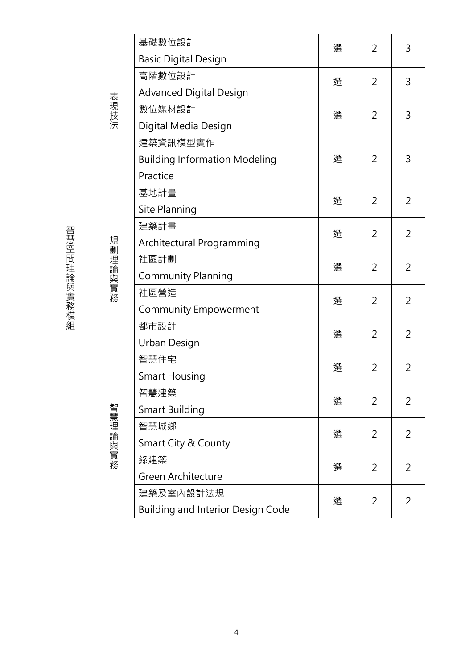|             |         | 基礎數位設計                                   | 選 | $\overline{2}$ | 3              |
|-------------|---------|------------------------------------------|---|----------------|----------------|
|             |         | <b>Basic Digital Design</b>              |   |                |                |
|             |         | 高階數位設計                                   | 選 | $\overline{2}$ | 3              |
|             | 表現技法    | <b>Advanced Digital Design</b>           |   |                |                |
|             |         | 數位媒材設計                                   | 選 | $\overline{2}$ | 3              |
|             |         | Digital Media Design                     |   |                |                |
|             |         | 建築資訊模型實作                                 | 選 |                |                |
|             |         | <b>Building Information Modeling</b>     |   | 2              | 3              |
|             |         | Practice                                 |   |                |                |
|             |         | 基地計畫                                     | 選 | 2              | 2              |
|             |         | Site Planning                            |   |                |                |
|             |         | 建築計畫                                     | 選 | 2              | $\overline{2}$ |
| 智慧空間理論與實務模組 |         | Architectural Programming                |   |                |                |
|             |         | 社區計劃                                     | 選 | 2              | 2              |
|             | 規劃理論與實務 | <b>Community Planning</b>                |   |                |                |
|             |         | 社區營造                                     | 選 | 2              | $\overline{2}$ |
|             |         | <b>Community Empowerment</b>             |   |                |                |
|             |         | 都市設計                                     | 選 | 2              | $\overline{2}$ |
|             |         | Urban Design                             |   |                |                |
|             |         | 智慧住宅                                     | 選 | 2              | 2              |
|             |         | <b>Smart Housing</b>                     |   |                |                |
|             | 智慧理論與實務 | 智慧建築                                     | 選 | 2              | $\overline{2}$ |
|             |         | <b>Smart Building</b>                    |   |                |                |
|             |         | 智慧城鄉                                     | 選 | 2              | 2              |
|             |         | Smart City & County                      |   |                |                |
|             |         | 綠建築                                      | 選 | 2              | 2              |
|             |         | Green Architecture                       |   |                |                |
|             |         | 建築及室内設計法規                                | 選 | 2              | 2              |
|             |         | <b>Building and Interior Design Code</b> |   |                |                |